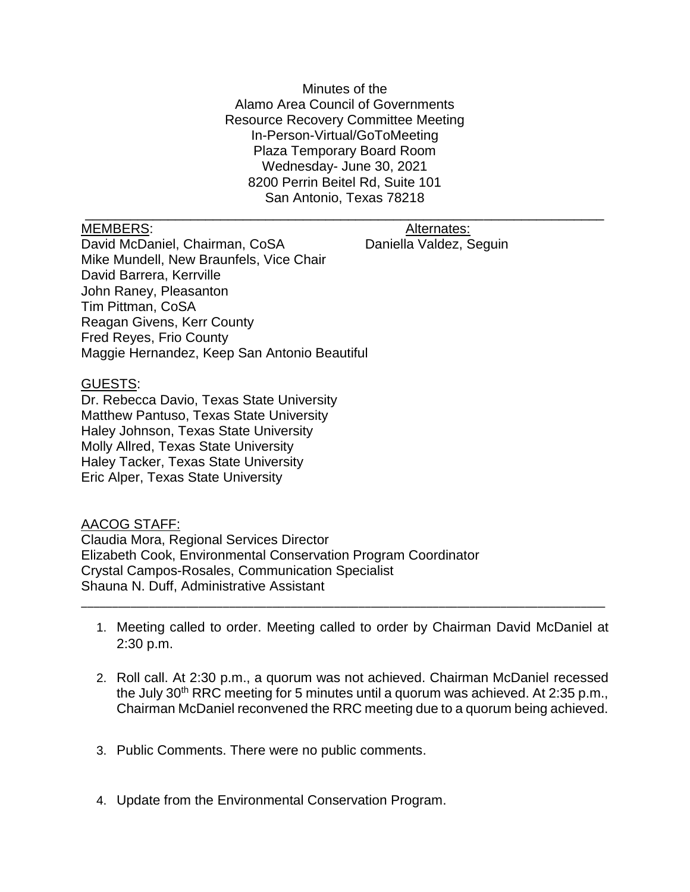Minutes of the Alamo Area Council of Governments Resource Recovery Committee Meeting In-Person-Virtual/GoToMeeting Plaza Temporary Board Room Wednesday- June 30, 2021 8200 Perrin Beitel Rd, Suite 101 San Antonio, Texas 78218

\_\_\_\_\_\_\_\_\_\_\_\_\_\_\_\_\_\_\_\_\_\_\_\_\_\_\_\_\_\_\_\_\_\_\_\_\_\_\_\_\_\_\_\_\_\_\_\_\_\_\_\_\_\_\_\_\_\_\_\_\_\_\_\_\_\_\_\_\_

MEMBERS: Alternates: Alternates:

David McDaniel, Chairman, CoSA Daniella Valdez, Seguin Mike Mundell, New Braunfels, Vice Chair David Barrera, Kerrville John Raney, Pleasanton Tim Pittman, CoSA Reagan Givens, Kerr County Fred Reyes, Frio County Maggie Hernandez, Keep San Antonio Beautiful

## GUESTS:

Dr. Rebecca Davio, Texas State University Matthew Pantuso, Texas State University Haley Johnson, Texas State University Molly Allred, Texas State University Haley Tacker, Texas State University Eric Alper, Texas State University

## AACOG STAFF:

Claudia Mora, Regional Services Director Elizabeth Cook, Environmental Conservation Program Coordinator Crystal Campos-Rosales, Communication Specialist Shauna N. Duff, Administrative Assistant

1. Meeting called to order. Meeting called to order by Chairman David McDaniel at 2:30 p.m.

\_\_\_\_\_\_\_\_\_\_\_\_\_\_\_\_\_\_\_\_\_\_\_\_\_\_\_\_\_\_\_\_\_\_\_\_\_\_\_\_\_\_\_\_\_\_\_\_\_\_\_\_\_\_\_\_\_\_\_\_\_\_\_\_\_\_\_\_\_\_\_\_\_\_\_\_\_\_\_\_\_\_\_\_\_

- 2. Roll call. At 2:30 p.m., a quorum was not achieved. Chairman McDaniel recessed the July 30<sup>th</sup> RRC meeting for 5 minutes until a quorum was achieved. At 2:35 p.m., Chairman McDaniel reconvened the RRC meeting due to a quorum being achieved.
- 3. Public Comments. There were no public comments.
- 4. Update from the Environmental Conservation Program.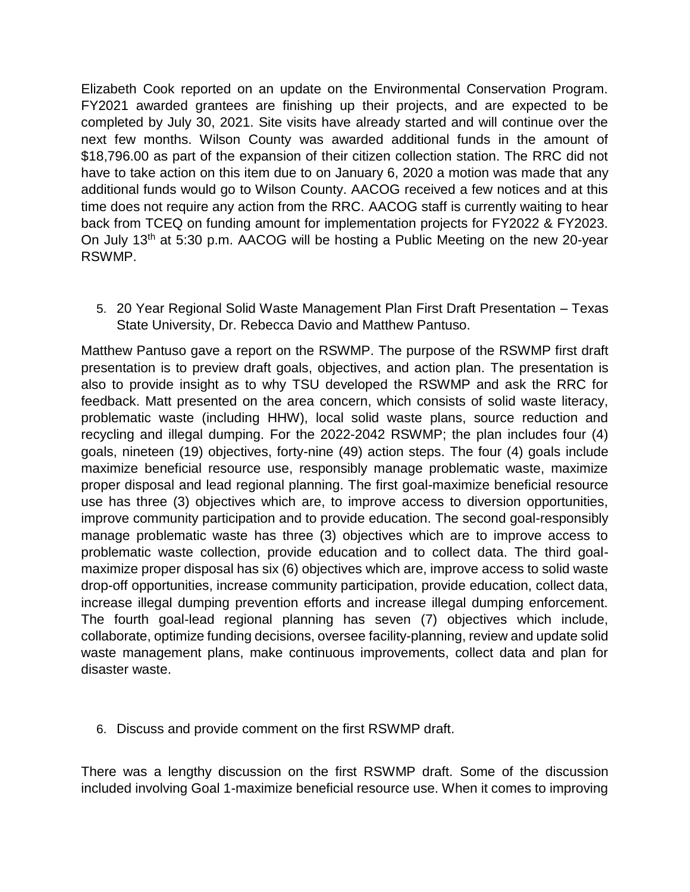Elizabeth Cook reported on an update on the Environmental Conservation Program. FY2021 awarded grantees are finishing up their projects, and are expected to be completed by July 30, 2021. Site visits have already started and will continue over the next few months. Wilson County was awarded additional funds in the amount of \$18,796.00 as part of the expansion of their citizen collection station. The RRC did not have to take action on this item due to on January 6, 2020 a motion was made that any additional funds would go to Wilson County. AACOG received a few notices and at this time does not require any action from the RRC. AACOG staff is currently waiting to hear back from TCEQ on funding amount for implementation projects for FY2022 & FY2023. On July 13th at 5:30 p.m. AACOG will be hosting a Public Meeting on the new 20-year RSWMP.

5. 20 Year Regional Solid Waste Management Plan First Draft Presentation – Texas State University, Dr. Rebecca Davio and Matthew Pantuso.

Matthew Pantuso gave a report on the RSWMP. The purpose of the RSWMP first draft presentation is to preview draft goals, objectives, and action plan. The presentation is also to provide insight as to why TSU developed the RSWMP and ask the RRC for feedback. Matt presented on the area concern, which consists of solid waste literacy, problematic waste (including HHW), local solid waste plans, source reduction and recycling and illegal dumping. For the 2022-2042 RSWMP; the plan includes four (4) goals, nineteen (19) objectives, forty-nine (49) action steps. The four (4) goals include maximize beneficial resource use, responsibly manage problematic waste, maximize proper disposal and lead regional planning. The first goal-maximize beneficial resource use has three (3) objectives which are, to improve access to diversion opportunities, improve community participation and to provide education. The second goal-responsibly manage problematic waste has three (3) objectives which are to improve access to problematic waste collection, provide education and to collect data. The third goalmaximize proper disposal has six (6) objectives which are, improve access to solid waste drop-off opportunities, increase community participation, provide education, collect data, increase illegal dumping prevention efforts and increase illegal dumping enforcement. The fourth goal-lead regional planning has seven (7) objectives which include, collaborate, optimize funding decisions, oversee facility-planning, review and update solid waste management plans, make continuous improvements, collect data and plan for disaster waste.

6. Discuss and provide comment on the first RSWMP draft.

There was a lengthy discussion on the first RSWMP draft. Some of the discussion included involving Goal 1-maximize beneficial resource use. When it comes to improving